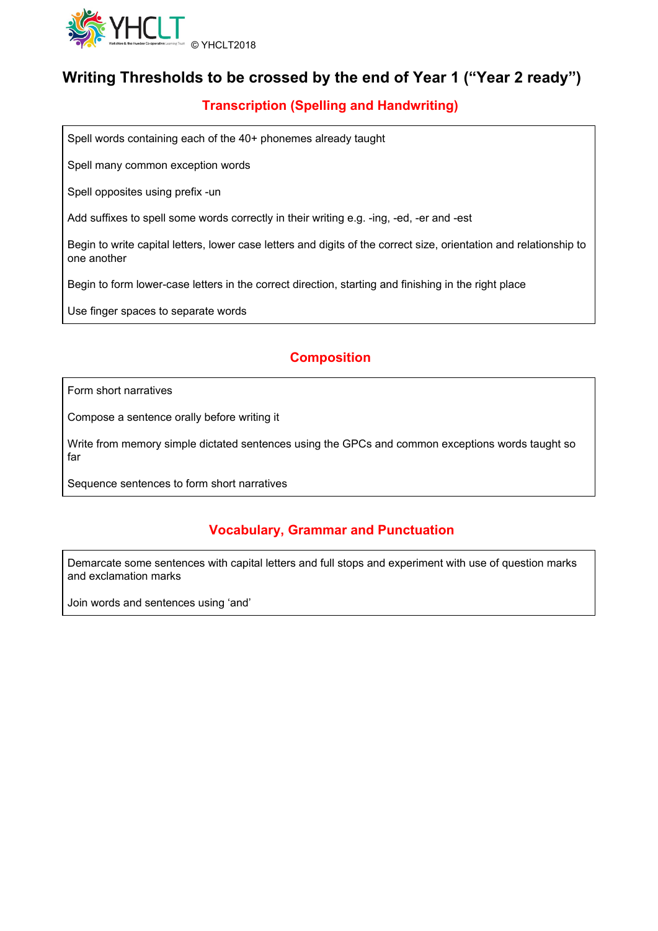

### **Writing Thresholds to be crossed by the end of Year 1 ("Year 2 ready")**

### **Transcription (Spelling and Handwriting)**

Spell words containing each of the 40+ phonemes already taught

Spell many common exception words

Spell opposites using prefix -un

Add suffixes to spell some words correctly in their writing e.g. -ing, -ed, -er and -est

Begin to write capital letters, lower case letters and digits of the correct size, orientation and relationship to one another

Begin to form lower-case letters in the correct direction, starting and finishing in the right place

Use finger spaces to separate words

#### **Composition**

Form short narratives

Compose a sentence orally before writing it

Write from memory simple dictated sentences using the GPCs and common exceptions words taught so far

Sequence sentences to form short narratives

#### **Vocabulary, Grammar and Punctuation**

Demarcate some sentences with capital letters and full stops and experiment with use of question marks and exclamation marks

Join words and sentences using 'and'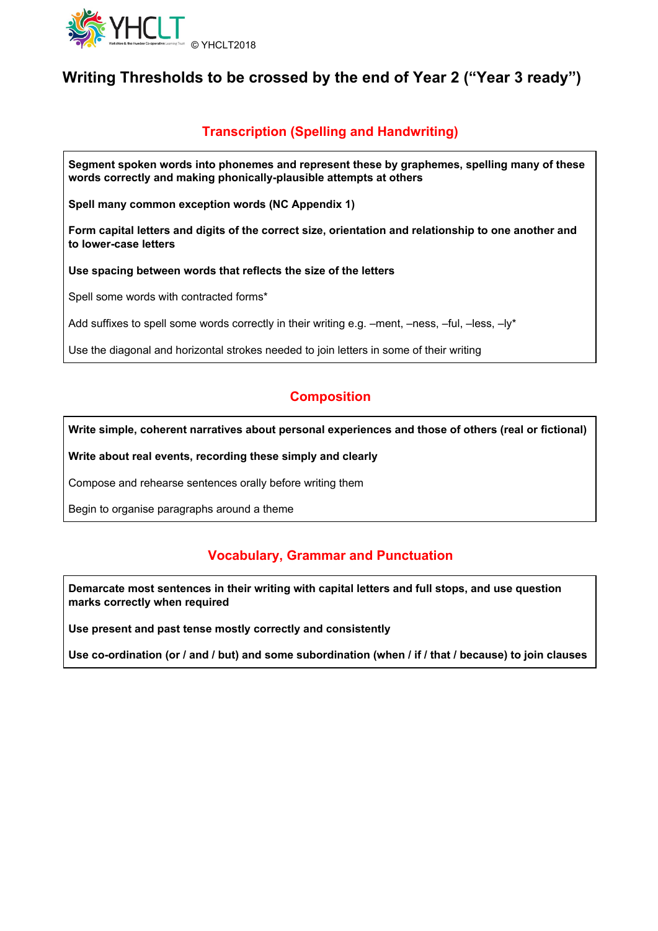

## **Writing Thresholds to be crossed by the end of Year 2 ("Year 3 ready")**

#### **Transcription (Spelling and Handwriting)**

**Segment spoken words into phonemes and represent these by graphemes, spelling many of these words correctly and making phonically-plausible attempts at others**

**Spell many common exception words (NC Appendix 1)**

**Form capital letters and digits of the correct size, orientation and relationship to one another and to lower-case letters**

**Use spacing between words that reflects the size of the letters**

Spell some words with contracted forms\*

Add suffixes to spell some words correctly in their writing e.g. –ment, –ness, –ful, –less, –ly\*

Use the diagonal and horizontal strokes needed to join letters in some of their writing

#### **Composition**

**Write simple, coherent narratives about personal experiences and those of others (real or fictional)**

**Write about real events, recording these simply and clearly**

Compose and rehearse sentences orally before writing them

Begin to organise paragraphs around a theme

#### **Vocabulary, Grammar and Punctuation**

**Demarcate most sentences in their writing with capital letters and full stops, and use question marks correctly when required**

**Use present and past tense mostly correctly and consistently**

Use co-ordination (or / and / but) and some subordination (when / if / that / because) to join clauses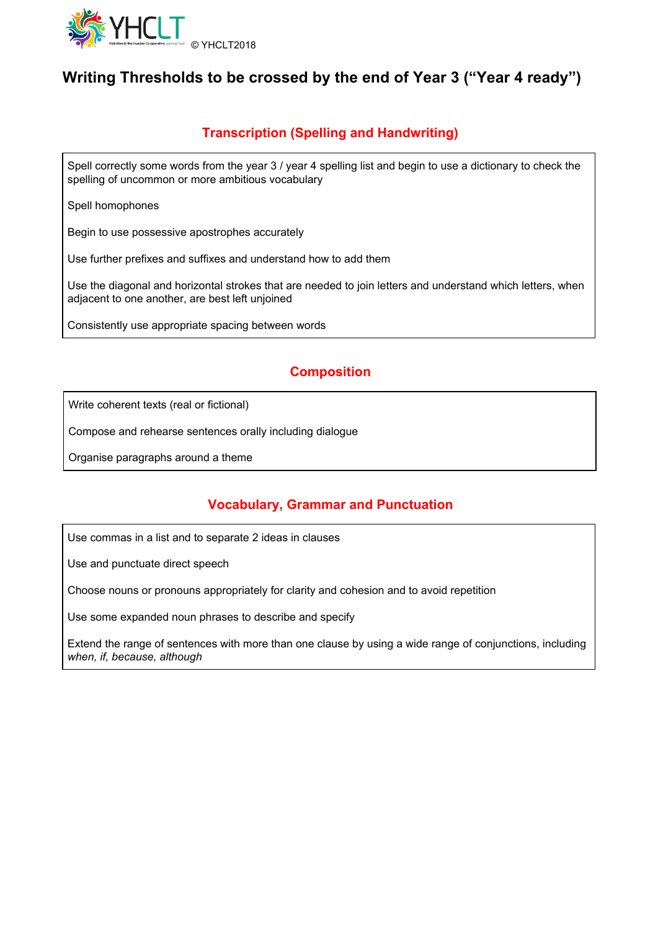

# **Writing Thresholds to be crossed by the end of Year 3 ("Year 4 ready")**

### **Transcription (Spelling and Handwriting)**

Spell correctly some words from the year 3 / year 4 spelling list and begin to use a dictionary to check the spelling of uncommon or more ambitious vocabulary

Spell homophones

Begin to use possessive apostrophes accurately

Use further prefixes and suffixes and understand how to add them

Use the diagonal and horizontal strokes that are needed to join letters and understand which letters, when adjacent to one another, are best left unjoined

Consistently use appropriate spacing between words

### **Composition**

Write coherent texts (real or fictional)

Compose and rehearse sentences orally including dialogue

Organise paragraphs around a theme

#### **Vocabulary, Grammar and Punctuation**

Use commas in a list and to separate 2 ideas in clauses

Use and punctuate direct speech

Choose nouns or pronouns appropriately for clarity and cohesion and to avoid repetition

Use some expanded noun phrases to describe and specify

Extend the range of sentences with more than one clause by using a wide range of conjunctions, including *when, if, because, although*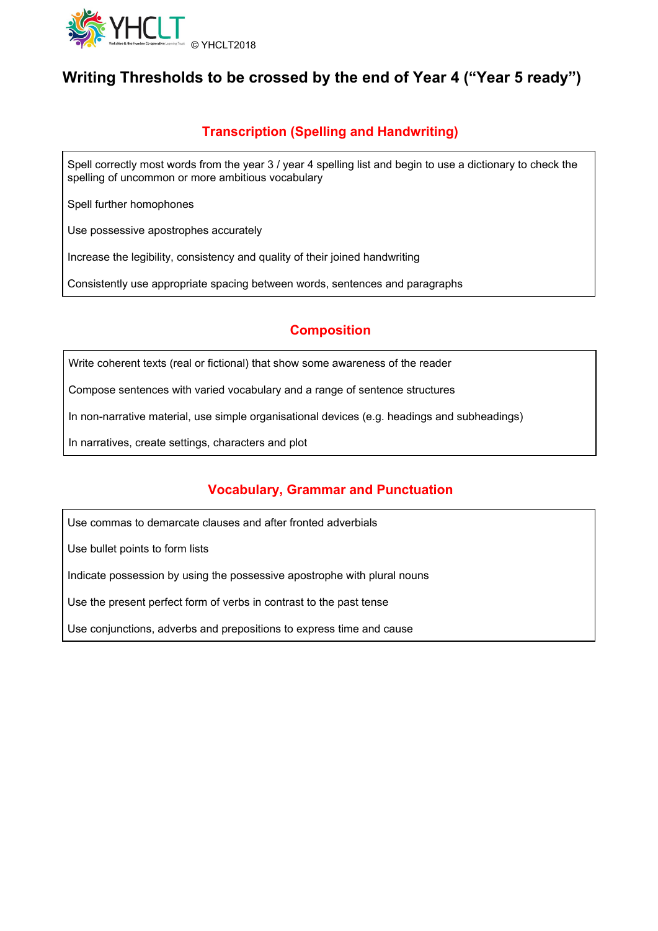

# **Writing Thresholds to be crossed by the end of Year 4 ("Year 5 ready")**

### **Transcription (Spelling and Handwriting)**

Spell correctly most words from the year 3 / year 4 spelling list and begin to use a dictionary to check the spelling of uncommon or more ambitious vocabulary

Spell further homophones

Use possessive apostrophes accurately

Increase the legibility, consistency and quality of their joined handwriting

Consistently use appropriate spacing between words, sentences and paragraphs

#### **Composition**

Write coherent texts (real or fictional) that show some awareness of the reader

Compose sentences with varied vocabulary and a range of sentence structures

In non-narrative material, use simple organisational devices (e.g. headings and subheadings)

In narratives, create settings, characters and plot

#### **Vocabulary, Grammar and Punctuation**

Use commas to demarcate clauses and after fronted adverbials

Use bullet points to form lists

Indicate possession by using the possessive apostrophe with plural nouns

Use the present perfect form of verbs in contrast to the past tense

Use conjunctions, adverbs and prepositions to express time and cause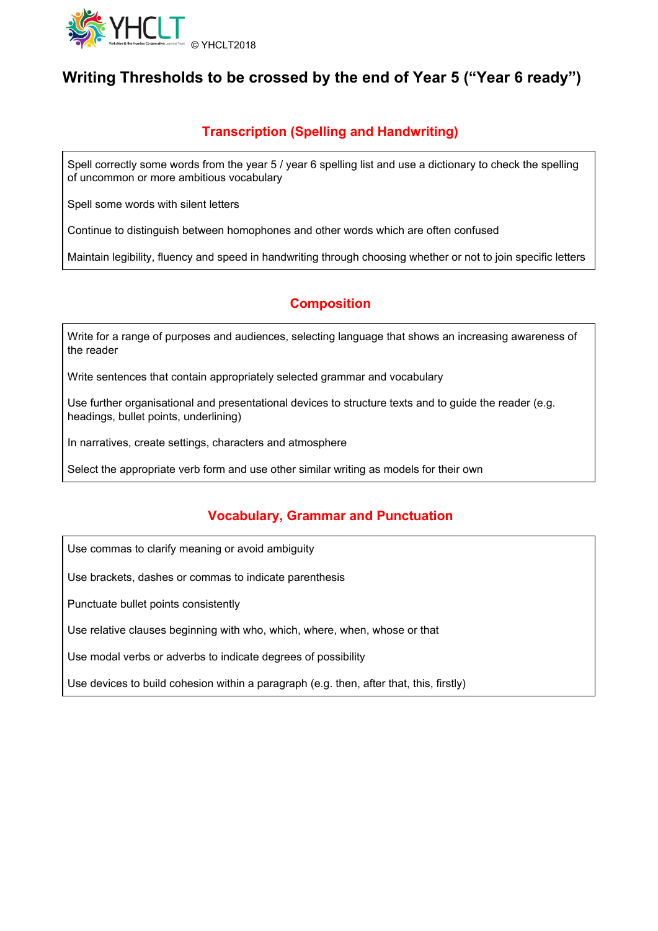

# **Writing Thresholds to be crossed by the end of Year 5 ("Year 6 ready")**

### **Transcription (Spelling and Handwriting)**

Spell correctly some words from the year 5 / year 6 spelling list and use a dictionary to check the spelling of uncommon or more ambitious vocabulary

Spell some words with silent letters

Continue to distinguish between homophones and other words which are often confused

Maintain legibility, fluency and speed in handwriting through choosing whether or not to join specific letters

### **Composition**

Write for a range of purposes and audiences, selecting language that shows an increasing awareness of the reader

Write sentences that contain appropriately selected grammar and vocabulary

Use further organisational and presentational devices to structure texts and to guide the reader (e.g. headings, bullet points, underlining)

In narratives, create settings, characters and atmosphere

Select the appropriate verb form and use other similar writing as models for their own

#### **Vocabulary, Grammar and Punctuation**

Use commas to clarify meaning or avoid ambiguity

Use brackets, dashes or commas to indicate parenthesis

Punctuate bullet points consistently

Use relative clauses beginning with who, which, where, when, whose or that

Use modal verbs or adverbs to indicate degrees of possibility

Use devices to build cohesion within a paragraph (e.g. then, after that, this, firstly)